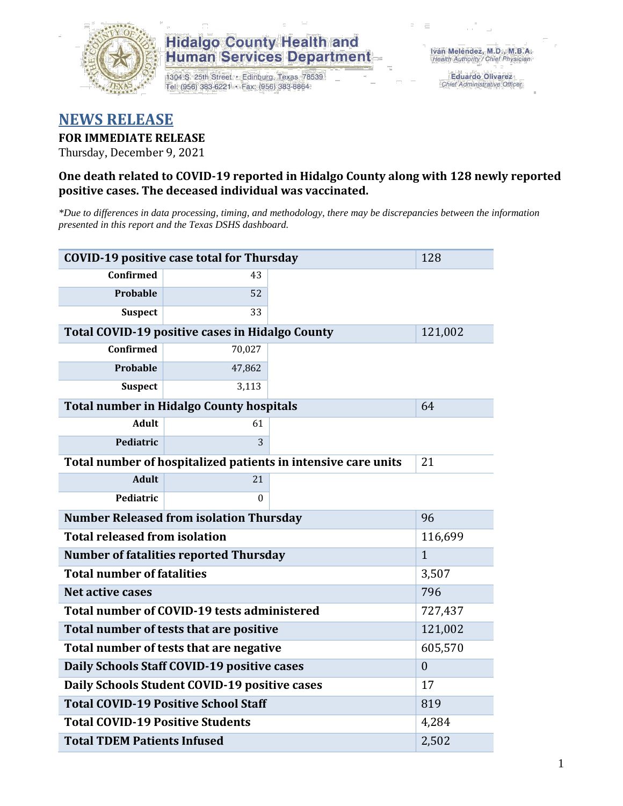

## **Hidalgo County Health and Human Services Department**

1304 S. 25th Street · Edinburg, Texas 78539 Tel: (956) 383-6221 · Fax: (956) 383-8864

**Eduardo Olivarez** Chief Administrative Officer

# **NEWS RELEASE**

## **FOR IMMEDIATE RELEASE**

Thursday, December 9, 2021

## **One death related to COVID-19 reported in Hidalgo County along with 128 newly reported positive cases. The deceased individual was vaccinated.**

*\*Due to differences in data processing, timing, and methodology, there may be discrepancies between the information presented in this report and the Texas DSHS dashboard.*

| <b>COVID-19 positive case total for Thursday</b>              | 128                                                    |         |         |  |  |
|---------------------------------------------------------------|--------------------------------------------------------|---------|---------|--|--|
| <b>Confirmed</b>                                              | 43                                                     |         |         |  |  |
| Probable                                                      | 52                                                     |         |         |  |  |
| <b>Suspect</b>                                                | 33                                                     |         |         |  |  |
|                                                               | <b>Total COVID-19 positive cases in Hidalgo County</b> |         | 121,002 |  |  |
| <b>Confirmed</b>                                              | 70,027                                                 |         |         |  |  |
| Probable                                                      | 47,862                                                 |         |         |  |  |
| <b>Suspect</b>                                                | 3,113                                                  |         |         |  |  |
| <b>Total number in Hidalgo County hospitals</b>               |                                                        | 64      |         |  |  |
| <b>Adult</b>                                                  | 61                                                     |         |         |  |  |
| Pediatric                                                     | 3                                                      |         |         |  |  |
| Total number of hospitalized patients in intensive care units | 21                                                     |         |         |  |  |
| <b>Adult</b>                                                  | 21                                                     |         |         |  |  |
| Pediatric                                                     | $\theta$                                               |         |         |  |  |
| <b>Number Released from isolation Thursday</b>                | 96                                                     |         |         |  |  |
| <b>Total released from isolation</b><br>116,699               |                                                        |         |         |  |  |
| <b>Number of fatalities reported Thursday</b>                 | $\mathbf{1}$                                           |         |         |  |  |
| <b>Total number of fatalities</b>                             | 3,507                                                  |         |         |  |  |
| <b>Net active cases</b>                                       |                                                        | 796     |         |  |  |
| Total number of COVID-19 tests administered                   |                                                        | 727,437 |         |  |  |
| Total number of tests that are positive                       | 121,002                                                |         |         |  |  |
| Total number of tests that are negative                       | 605,570                                                |         |         |  |  |
| Daily Schools Staff COVID-19 positive cases                   | $\overline{0}$                                         |         |         |  |  |
| Daily Schools Student COVID-19 positive cases                 | 17                                                     |         |         |  |  |
| <b>Total COVID-19 Positive School Staff</b>                   | 819                                                    |         |         |  |  |
| <b>Total COVID-19 Positive Students</b>                       | 4,284                                                  |         |         |  |  |
| <b>Total TDEM Patients Infused</b>                            | 2,502                                                  |         |         |  |  |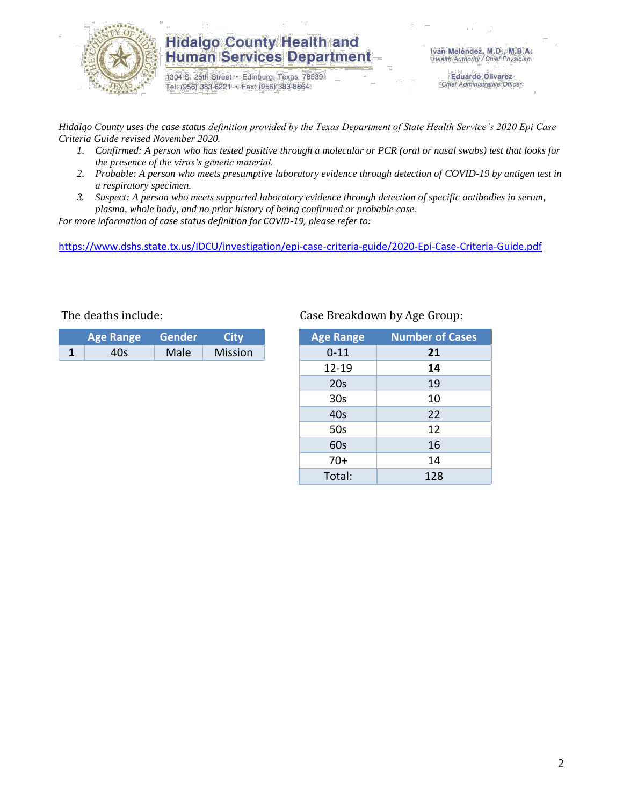

## **Hidalgo County Health and Human Services Department**

1304 S. 25th Street · Edinburg, Texas 78539 Tel: (956) 383-6221 · Fax: (956) 383-8864

Iván Meléndez, M.D., M.B.A. Health Authority / Chief Physician

> **Eduardo Olivarez** Chief Administrative Officer

*Hidalgo County uses the case status definition provided by the Texas Department of State Health Service's 2020 Epi Case Criteria Guide revised November 2020.*

- *1. Confirmed: A person who has tested positive through a molecular or PCR (oral or nasal swabs) test that looks for the presence of the virus's genetic material.*
- *2. Probable: A person who meets presumptive laboratory evidence through detection of COVID-19 by antigen test in a respiratory specimen.*
- *3. Suspect: A person who meets supported laboratory evidence through detection of specific antibodies in serum, plasma, whole body, and no prior history of being confirmed or probable case.*

*For more information of case status definition for COVID-19, please refer to:*

<https://www.dshs.state.tx.us/IDCU/investigation/epi-case-criteria-guide/2020-Epi-Case-Criteria-Guide.pdf>

| <b>Age Range</b> | Gender | City           |
|------------------|--------|----------------|
| IU<              | Male   | <b>Mission</b> |

### The deaths include: Case Breakdown by Age Group:

| <b>Age Range</b> | <b>Number of Cases</b> |
|------------------|------------------------|
| $0 - 11$         | 21                     |
| $12 - 19$        | 14                     |
| 20s              | 19                     |
| 30 <sub>s</sub>  | 10                     |
| 40s              | 22                     |
| 50s              | 12                     |
| 60s              | 16                     |
| $70+$            | 14                     |
| Total:           | 128                    |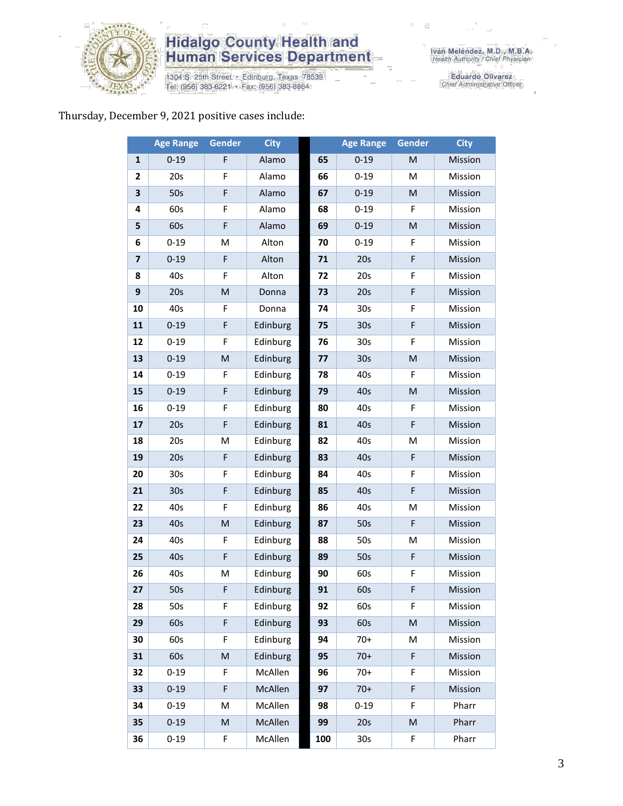

# **Hidalgo County Health and<br>Human Services Department**

1304 S. 25th Street • Edinburg, Texas 78539<br>Tel: (956) 383-6221 • Fax: (956) 383-8864

Eduardo Olivarez<br>Chief Administrative Officer

### Thursday, December 9, 2021 positive cases include:

|                         | <b>Age Range</b> | <b>Gender</b> | <b>City</b> |     | <b>Age Range</b> | <b>Gender</b> | <b>City</b>    |
|-------------------------|------------------|---------------|-------------|-----|------------------|---------------|----------------|
| $\mathbf{1}$            | $0 - 19$         | F             | Alamo       | 65  | $0 - 19$         | M             | Mission        |
| $\mathbf{2}$            | 20s              | F             | Alamo       | 66  | $0 - 19$         | M             | Mission        |
| 3                       | 50s              | F             | Alamo       | 67  | $0 - 19$         | M             | Mission        |
| 4                       | 60s              | F             | Alamo       | 68  | $0 - 19$         | F             | Mission        |
| 5                       | 60s              | F             | Alamo       | 69  | $0 - 19$         | M             | Mission        |
| 6                       | $0 - 19$         | M             | Alton       | 70  | $0 - 19$         | F             | Mission        |
| $\overline{\mathbf{z}}$ | $0 - 19$         | F             | Alton       | 71  | 20s              | F             | Mission        |
| 8                       | 40s              | F             | Alton       | 72  | 20s              | F             | Mission        |
| 9                       | 20s              | M             | Donna       | 73  | 20s              | F             | Mission        |
| 10                      | 40s              | F             | Donna       | 74  | 30 <sub>s</sub>  | F             | Mission        |
| 11                      | $0 - 19$         | F             | Edinburg    | 75  | 30 <sub>s</sub>  | F             | Mission        |
| 12                      | $0 - 19$         | F             | Edinburg    | 76  | 30 <sub>s</sub>  | F             | Mission        |
| 13                      | $0 - 19$         | M             | Edinburg    | 77  | 30 <sub>s</sub>  | M             | Mission        |
| 14                      | $0 - 19$         | F             | Edinburg    | 78  | 40s              | F             | Mission        |
| 15                      | $0 - 19$         | F             | Edinburg    | 79  | 40s              | M             | Mission        |
| 16                      | $0 - 19$         | F             | Edinburg    | 80  | 40s              | F             | Mission        |
| 17                      | 20s              | F             | Edinburg    | 81  | 40s              | F             | Mission        |
| 18                      | 20s              | M             | Edinburg    | 82  | 40s              | M             | Mission        |
| 19                      | 20s              | F             | Edinburg    | 83  | 40s              | F             | Mission        |
| 20                      | 30 <sub>s</sub>  | F             | Edinburg    | 84  | 40s              | F             | Mission        |
| 21                      | 30 <sub>s</sub>  | F             | Edinburg    | 85  | 40s              | F             | Mission        |
| 22                      | 40s              | F             | Edinburg    | 86  | 40s              | M             | Mission        |
| 23                      | 40s              | M             | Edinburg    | 87  | 50s              | F             | Mission        |
| 24                      | 40s              | F             | Edinburg    | 88  | 50s              | M             | Mission        |
| 25                      | 40s              | F             | Edinburg    | 89  | 50s              | F             | Mission        |
| 26                      | 40s              | M             | Edinburg    | 90  | 60s              | F             | Mission        |
| 27                      | 50s              | F             | Edinburg    | 91  | 60s              | F             | <b>Mission</b> |
| 28                      | 50s              | F             | Edinburg    | 92  | 60s              | F.            | Mission        |
| 29                      | 60s              | F             | Edinburg    | 93  | 60s              | M             | Mission        |
| 30                      | 60s              | F             | Edinburg    | 94  | $70+$            | M             | Mission        |
| 31                      | 60s              | M             | Edinburg    | 95  | $70+$            | F             | Mission        |
| 32                      | $0 - 19$         | F             | McAllen     | 96  | $70+$            | F             | Mission        |
| 33                      | $0 - 19$         | F             | McAllen     | 97  | $70+$            | F             | Mission        |
| 34                      | $0 - 19$         | M             | McAllen     | 98  | $0 - 19$         | F             | Pharr          |
| 35                      | $0 - 19$         | M             | McAllen     | 99  | 20s              | M             | Pharr          |
| 36                      | $0 - 19$         | F             | McAllen     | 100 | 30 <sub>s</sub>  | F             | Pharr          |